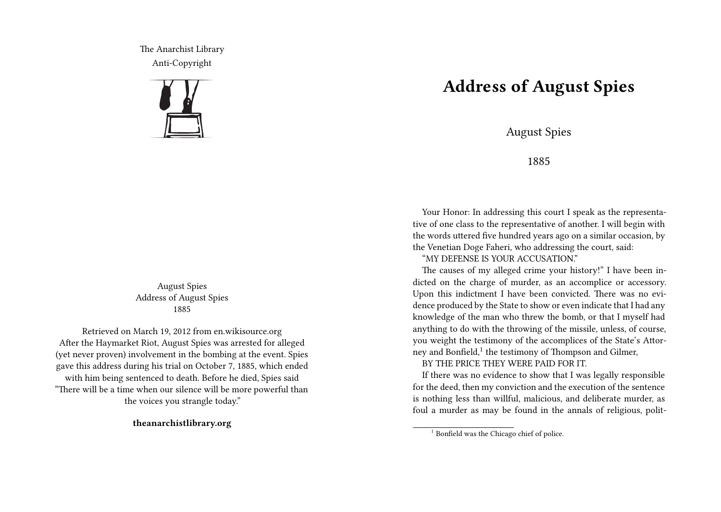The Anarchist Library Anti-Copyright



August Spies Address of August Spies 1885

Retrieved on March 19, 2012 from en.wikisource.org After the Haymarket Riot, August Spies was arrested for alleged (yet never proven) involvement in the bombing at the event. Spies gave this address during his trial on October 7, 1885, which ended with him being sentenced to death. Before he died, Spies said "There will be a time when our silence will be more powerful than the voices you strangle today."

**theanarchistlibrary.org**

# **Address of August Spies**

August Spies

# 1885

Your Honor: In addressing this court I speak as the representative of one class to the representative of another. I will begin with the words uttered five hundred years ago on a similar occasion, by the Venetian Doge Faheri, who addressing the court, said:

"MY DEFENSE IS YOUR ACCUSATION."

The causes of my alleged crime your history!" I have been indicted on the charge of murder, as an accomplice or accessory. Upon this indictment I have been convicted. There was no evidence produced by the State to show or even indicate that I had any knowledge of the man who threw the bomb, or that I myself had anything to do with the throwing of the missile, unless, of course, you weight the testimony of the accomplices of the State's Attorney and Bonfield,<sup>1</sup> the testimony of Thompson and Gilmer,

## BY THE PRICE THEY WERE PAID FOR IT.

If there was no evidence to show that I was legally responsible for the deed, then my conviction and the execution of the sentence is nothing less than willful, malicious, and deliberate murder, as foul a murder as may be found in the annals of religious, polit-

<sup>&</sup>lt;sup>1</sup> Bonfield was the Chicago chief of police.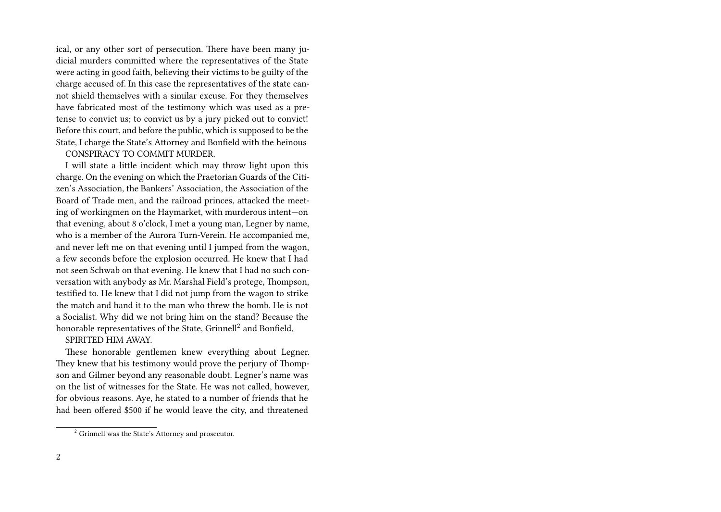ical, or any other sort of persecution. There have been many judicial murders committed where the representatives of the State were acting in good faith, believing their victims to be guilty of the charge accused of. In this case the representatives of the state cannot shield themselves with a similar excuse. For they themselves have fabricated most of the testimony which was used as a pretense to convict us; to convict us by a jury picked out to convict! Before this court, and before the public, which is supposed to be the State, I charge the State's Attorney and Bonfield with the heinous

# CONSPIRACY TO COMMIT MURDER.

I will state a little incident which may throw light upon this charge. On the evening on which the Praetorian Guards of the Citizen's Association, the Bankers' Association, the Association of the Board of Trade men, and the railroad princes, attacked the meeting of workingmen on the Haymarket, with murderous intent—on that evening, about 8 o'clock, I met a young man, Legner by name, who is a member of the Aurora Turn-Verein. He accompanied me, and never left me on that evening until I jumped from the wagon, a few seconds before the explosion occurred. He knew that I had not seen Schwab on that evening. He knew that I had no such conversation with anybody as Mr. Marshal Field's protege, Thompson, testified to. He knew that I did not jump from the wagon to strike the match and hand it to the man who threw the bomb. He is not a Socialist. Why did we not bring him on the stand? Because the honorable representatives of the State, Grinnell $^2$  and Bonfield,

## SPIRITED HIM AWAY.

These honorable gentlemen knew everything about Legner. They knew that his testimony would prove the perjury of Thompson and Gilmer beyond any reasonable doubt. Legner's name was on the list of witnesses for the State. He was not called, however, for obvious reasons. Aye, he stated to a number of friends that he had been offered \$500 if he would leave the city, and threatened

<sup>2</sup> Grinnell was the State's Attorney and prosecutor.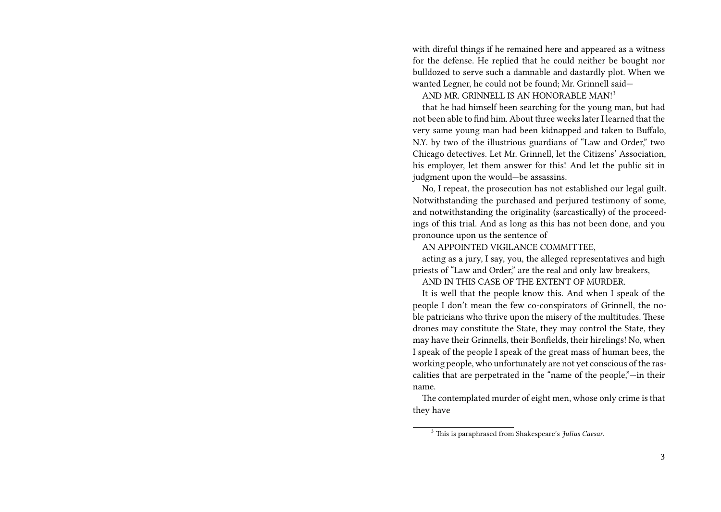with direful things if he remained here and appeared as a witness for the defense. He replied that he could neither be bought nor bulldozed to serve such a damnable and dastardly plot. When we wanted Legner, he could not be found; Mr. Grinnell said—

AND MR. GRINNELL IS AN HONORABLE MAN!<sup>3</sup>

that he had himself been searching for the young man, but had not been able to find him. About three weeks later I learned that the very same young man had been kidnapped and taken to Buffalo, N.Y. by two of the illustrious guardians of "Law and Order," two Chicago detectives. Let Mr. Grinnell, let the Citizens' Association, his employer, let them answer for this! And let the public sit in judgment upon the would—be assassins.

No, I repeat, the prosecution has not established our legal guilt. Notwithstanding the purchased and perjured testimony of some, and notwithstanding the originality (sarcastically) of the proceedings of this trial. And as long as this has not been done, and you pronounce upon us the sentence of

AN APPOINTED VIGILANCE COMMITTEE,

acting as a jury, I say, you, the alleged representatives and high priests of "Law and Order," are the real and only law breakers,

AND IN THIS CASE OF THE EXTENT OF MURDER.

It is well that the people know this. And when I speak of the people I don't mean the few co-conspirators of Grinnell, the noble patricians who thrive upon the misery of the multitudes. These drones may constitute the State, they may control the State, they may have their Grinnells, their Bonfields, their hirelings! No, when I speak of the people I speak of the great mass of human bees, the working people, who unfortunately are not yet conscious of the rascalities that are perpetrated in the "name of the people,"—in their name.

The contemplated murder of eight men, whose only crime is that they have

<sup>3</sup> This is paraphrased from Shakespeare's *Julius Caesar*.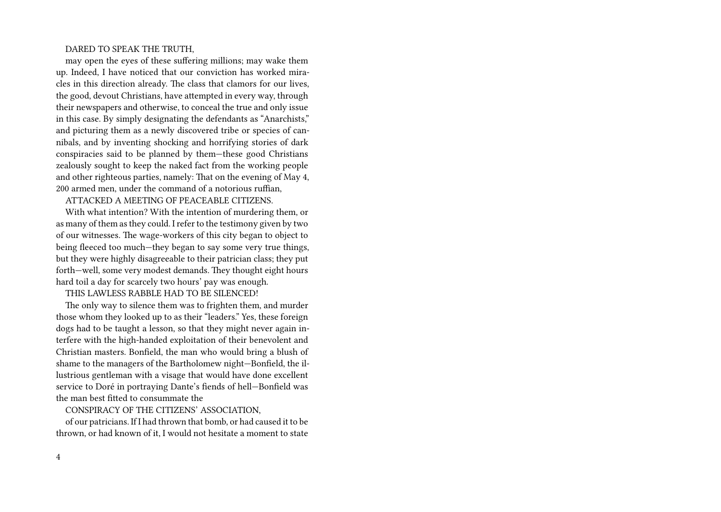#### DARED TO SPEAK THE TRUTH,

may open the eyes of these suffering millions; may wake them up. Indeed, I have noticed that our conviction has worked miracles in this direction already. The class that clamors for our lives, the good, devout Christians, have attempted in every way, through their newspapers and otherwise, to conceal the true and only issue in this case. By simply designating the defendants as "Anarchists," and picturing them as a newly discovered tribe or species of cannibals, and by inventing shocking and horrifying stories of dark conspiracies said to be planned by them—these good Christians zealously sought to keep the naked fact from the working people and other righteous parties, namely: That on the evening of May 4, 200 armed men, under the command of a notorious ruffian,

ATTACKED A MEETING OF PEACEABLE CITIZENS.

With what intention? With the intention of murdering them, or as many of them as they could. I refer to the testimony given by two of our witnesses. The wage-workers of this city began to object to being fleeced too much—they began to say some very true things, but they were highly disagreeable to their patrician class; they put forth—well, some very modest demands. They thought eight hours hard toil a day for scarcely two hours' pay was enough.

THIS LAWLESS RABBLE HAD TO BE SILENCED!

The only way to silence them was to frighten them, and murder those whom they looked up to as their "leaders." Yes, these foreign dogs had to be taught a lesson, so that they might never again interfere with the high-handed exploitation of their benevolent and Christian masters. Bonfield, the man who would bring a blush of shame to the managers of the Bartholomew night—Bonfield, the illustrious gentleman with a visage that would have done excellent service to Doré in portraying Dante's fiends of hell—Bonfield was the man best fitted to consummate the

CONSPIRACY OF THE CITIZENS' ASSOCIATION,

of our patricians. If I had thrown that bomb, or had caused it to be thrown, or had known of it, I would not hesitate a moment to state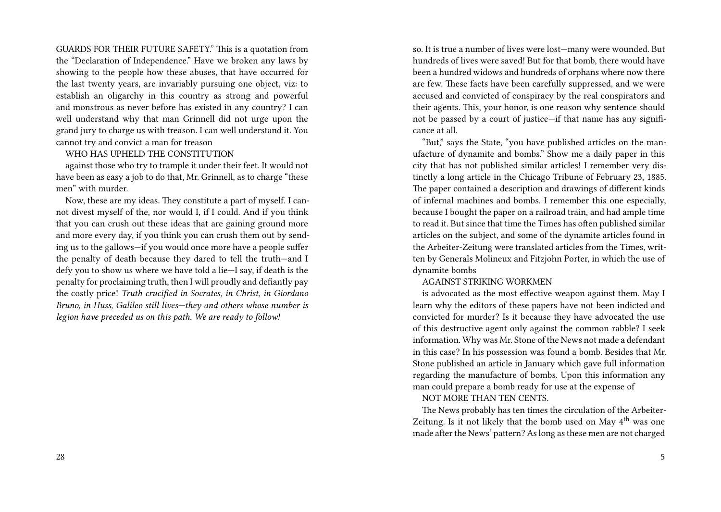GUARDS FOR THEIR FUTURE SAFETY." This is a quotation from the "Declaration of Independence." Have we broken any laws by showing to the people how these abuses, that have occurred for the last twenty years, are invariably pursuing one object, viz: to establish an oligarchy in this country as strong and powerful and monstrous as never before has existed in any country? I can well understand why that man Grinnell did not urge upon the grand jury to charge us with treason. I can well understand it. You cannot try and convict a man for treason

# WHO HAS UPHELD THE CONSTITUTION

against those who try to trample it under their feet. It would not have been as easy a job to do that, Mr. Grinnell, as to charge "these men" with murder.

Now, these are my ideas. They constitute a part of myself. I cannot divest myself of the, nor would I, if I could. And if you think that you can crush out these ideas that are gaining ground more and more every day, if you think you can crush them out by sending us to the gallows—if you would once more have a people suffer the penalty of death because they dared to tell the truth—and I defy you to show us where we have told a lie—I say, if death is the penalty for proclaiming truth, then I will proudly and defiantly pay the costly price! *Truth crucified in Socrates, in Christ, in Giordano Bruno, in Huss, Galileo still lives—they and others whose number is legion have preceded us on this path. We are ready to follow!*

so. It is true a number of lives were lost—many were wounded. But hundreds of lives were saved! But for that bomb, there would have been a hundred widows and hundreds of orphans where now there are few. These facts have been carefully suppressed, and we were accused and convicted of conspiracy by the real conspirators and their agents. This, your honor, is one reason why sentence should not be passed by a court of justice—if that name has any significance at all.

"But," says the State, "you have published articles on the manufacture of dynamite and bombs." Show me a daily paper in this city that has not published similar articles! I remember very distinctly a long article in the Chicago Tribune of February 23, 1885. The paper contained a description and drawings of different kinds of infernal machines and bombs. I remember this one especially, because I bought the paper on a railroad train, and had ample time to read it. But since that time the Times has often published similar articles on the subject, and some of the dynamite articles found in the Arbeiter-Zeitung were translated articles from the Times, written by Generals Molineux and Fitzjohn Porter, in which the use of dynamite bombs

#### AGAINST STRIKING WORKMEN

is advocated as the most effective weapon against them. May I learn why the editors of these papers have not been indicted and convicted for murder? Is it because they have advocated the use of this destructive agent only against the common rabble? I seek information. Why was Mr. Stone of the News not made a defendant in this case? In his possession was found a bomb. Besides that Mr. Stone published an article in January which gave full information regarding the manufacture of bombs. Upon this information any man could prepare a bomb ready for use at the expense of

# NOT MORE THAN TEN CENTS.

The News probably has ten times the circulation of the Arbeiter-Zeitung. Is it not likely that the bomb used on May  $4<sup>th</sup>$  was one made after the News' pattern? As long as these men are not charged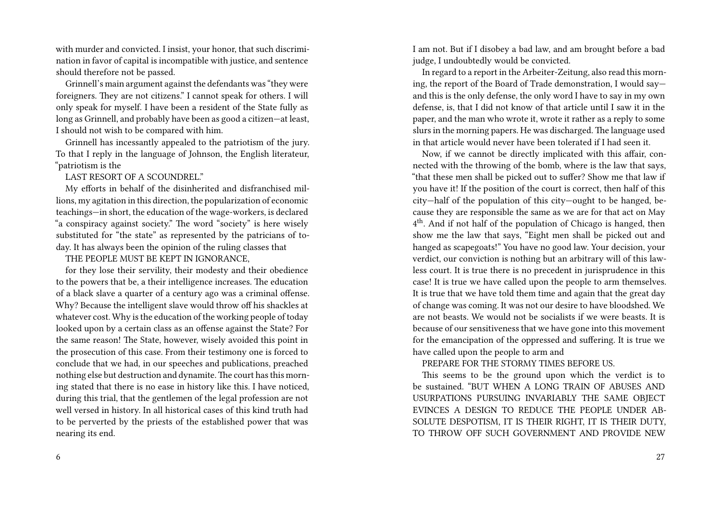with murder and convicted. I insist, your honor, that such discrimination in favor of capital is incompatible with justice, and sentence should therefore not be passed.

Grinnell's main argument against the defendants was "they were foreigners. They are not citizens." I cannot speak for others. I will only speak for myself. I have been a resident of the State fully as long as Grinnell, and probably have been as good a citizen—at least, I should not wish to be compared with him.

Grinnell has incessantly appealed to the patriotism of the jury. To that I reply in the language of Johnson, the English literateur, "patriotism is the

LAST RESORT OF A SCOUNDREL."

My efforts in behalf of the disinherited and disfranchised millions, my agitation in this direction, the popularization of economic teachings—in short, the education of the wage-workers, is declared "a conspiracy against society." The word "society" is here wisely substituted for "the state" as represented by the patricians of today. It has always been the opinion of the ruling classes that

THE PEOPLE MUST BE KEPT IN IGNORANCE,

for they lose their servility, their modesty and their obedience to the powers that be, a their intelligence increases. The education of a black slave a quarter of a century ago was a criminal offense. Why? Because the intelligent slave would throw off his shackles at whatever cost. Why is the education of the working people of today looked upon by a certain class as an offense against the State? For the same reason! The State, however, wisely avoided this point in the prosecution of this case. From their testimony one is forced to conclude that we had, in our speeches and publications, preached nothing else but destruction and dynamite.The court has this morning stated that there is no ease in history like this. I have noticed, during this trial, that the gentlemen of the legal profession are not well versed in history. In all historical cases of this kind truth had to be perverted by the priests of the established power that was nearing its end.

6

I am not. But if I disobey a bad law, and am brought before a bad judge, I undoubtedly would be convicted.

In regard to a report in the Arbeiter-Zeitung, also read this morning, the report of the Board of Trade demonstration, I would say and this is the only defense, the only word I have to say in my own defense, is, that I did not know of that article until I saw it in the paper, and the man who wrote it, wrote it rather as a reply to some slurs in the morning papers. He was discharged. The language used in that article would never have been tolerated if I had seen it.

Now, if we cannot be directly implicated with this affair, connected with the throwing of the bomb, where is the law that says, "that these men shall be picked out to suffer? Show me that law if you have it! If the position of the court is correct, then half of this city—half of the population of this city—ought to be hanged, because they are responsible the same as we are for that act on May 4<sup>th</sup>. And if not half of the population of Chicago is hanged, then show me the law that says, "Eight men shall be picked out and hanged as scapegoats!" You have no good law. Your decision, your verdict, our conviction is nothing but an arbitrary will of this lawless court. It is true there is no precedent in jurisprudence in this case! It is true we have called upon the people to arm themselves. It is true that we have told them time and again that the great day of change was coming. It was not our desire to have bloodshed. We are not beasts. We would not be socialists if we were beasts. It is because of our sensitiveness that we have gone into this movement for the emancipation of the oppressed and suffering. It is true we have called upon the people to arm and

PREPARE FOR THE STORMY TIMES BEFORE US.

This seems to be the ground upon which the verdict is to be sustained. "BUT WHEN A LONG TRAIN OF ABUSES AND USURPATIONS PURSUING INVARIABLY THE SAME OBJECT EVINCES A DESIGN TO REDUCE THE PEOPLE UNDER AB-SOLUTE DESPOTISM, IT IS THEIR RIGHT, IT IS THEIR DUTY, TO THROW OFF SUCH GOVERNMENT AND PROVIDE NEW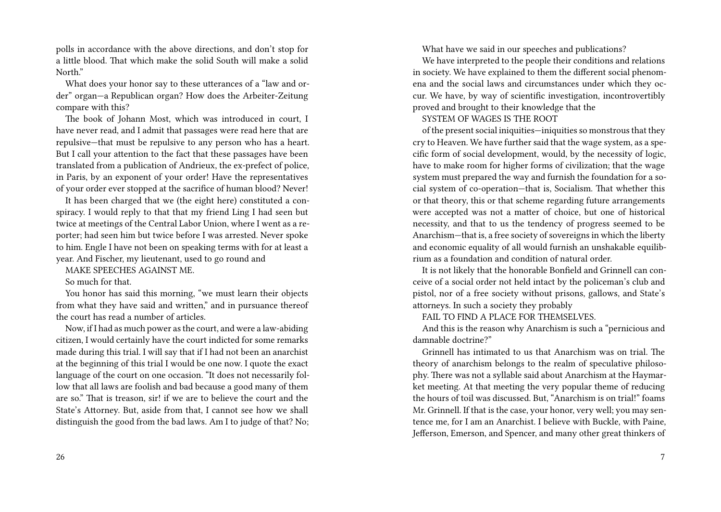polls in accordance with the above directions, and don't stop for a little blood. That which make the solid South will make a solid North."

What does your honor say to these utterances of a "law and order" organ—a Republican organ? How does the Arbeiter-Zeitung compare with this?

The book of Johann Most, which was introduced in court, I have never read, and I admit that passages were read here that are repulsive—that must be repulsive to any person who has a heart. But I call your attention to the fact that these passages have been translated from a publication of Andrieux, the ex-prefect of police, in Paris, by an exponent of your order! Have the representatives of your order ever stopped at the sacrifice of human blood? Never!

It has been charged that we (the eight here) constituted a conspiracy. I would reply to that that my friend Ling I had seen but twice at meetings of the Central Labor Union, where I went as a reporter; had seen him but twice before I was arrested. Never spoke to him. Engle I have not been on speaking terms with for at least a year. And Fischer, my lieutenant, used to go round and

MAKE SPEECHES AGAINST ME.

So much for that.

You honor has said this morning, "we must learn their objects from what they have said and written," and in pursuance thereof the court has read a number of articles.

Now, if I had as much power as the court, and were a law-abiding citizen, I would certainly have the court indicted for some remarks made during this trial. I will say that if I had not been an anarchist at the beginning of this trial I would be one now. I quote the exact language of the court on one occasion. "It does not necessarily follow that all laws are foolish and bad because a good many of them are so." That is treason, sir! if we are to believe the court and the State's Attorney. But, aside from that, I cannot see how we shall distinguish the good from the bad laws. Am I to judge of that? No;

26

What have we said in our speeches and publications?

We have interpreted to the people their conditions and relations in society. We have explained to them the different social phenomena and the social laws and circumstances under which they occur. We have, by way of scientific investigation, incontrovertibly proved and brought to their knowledge that the

SYSTEM OF WAGES IS THE ROOT

of the present social iniquities—iniquities so monstrous that they cry to Heaven. We have further said that the wage system, as a specific form of social development, would, by the necessity of logic, have to make room for higher forms of civilization; that the wage system must prepared the way and furnish the foundation for a social system of co-operation—that is, Socialism. That whether this or that theory, this or that scheme regarding future arrangements were accepted was not a matter of choice, but one of historical necessity, and that to us the tendency of progress seemed to be Anarchism—that is, a free society of sovereigns in which the liberty and economic equality of all would furnish an unshakable equilibrium as a foundation and condition of natural order.

It is not likely that the honorable Bonfield and Grinnell can conceive of a social order not held intact by the policeman's club and pistol, nor of a free society without prisons, gallows, and State's attorneys. In such a society they probably

FAIL TO FIND A PLACE FOR THEMSELVES.

And this is the reason why Anarchism is such a "pernicious and damnable doctrine?"

Grinnell has intimated to us that Anarchism was on trial. The theory of anarchism belongs to the realm of speculative philosophy. There was not a syllable said about Anarchism at the Haymarket meeting. At that meeting the very popular theme of reducing the hours of toil was discussed. But, "Anarchism is on trial!" foams Mr. Grinnell. If that is the case, your honor, very well; you may sentence me, for I am an Anarchist. I believe with Buckle, with Paine, Jefferson, Emerson, and Spencer, and many other great thinkers of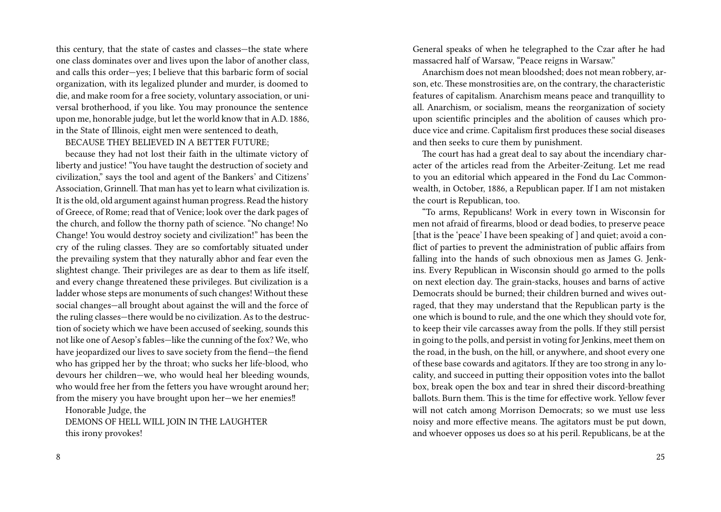this century, that the state of castes and classes—the state where one class dominates over and lives upon the labor of another class, and calls this order—yes; I believe that this barbaric form of social organization, with its legalized plunder and murder, is doomed to die, and make room for a free society, voluntary association, or universal brotherhood, if you like. You may pronounce the sentence upon me, honorable judge, but let the world know that in A.D. 1886, in the State of Illinois, eight men were sentenced to death,

# BECAUSE THEY BELIEVED IN A BETTER FUTURE;

because they had not lost their faith in the ultimate victory of liberty and justice! "You have taught the destruction of society and civilization," says the tool and agent of the Bankers' and Citizens' Association, Grinnell. That man has yet to learn what civilization is. It is the old, old argument against human progress. Read the history of Greece, of Rome; read that of Venice; look over the dark pages of the church, and follow the thorny path of science. "No change! No Change! You would destroy society and civilization!" has been the cry of the ruling classes. They are so comfortably situated under the prevailing system that they naturally abhor and fear even the slightest change. Their privileges are as dear to them as life itself, and every change threatened these privileges. But civilization is a ladder whose steps are monuments of such changes! Without these social changes—all brought about against the will and the force of the ruling classes—there would be no civilization. As to the destruction of society which we have been accused of seeking, sounds this not like one of Aesop's fables—like the cunning of the fox? We, who have jeopardized our lives to save society from the fiend—the fiend who has gripped her by the throat; who sucks her life-blood, who devours her children—we, who would heal her bleeding wounds, who would free her from the fetters you have wrought around her; from the misery you have brought upon her—we her enemies‼

Honorable Judge, the DEMONS OF HELL WILL JOIN IN THE LAUGHTER this irony provokes!

General speaks of when he telegraphed to the Czar after he had massacred half of Warsaw, "Peace reigns in Warsaw."

Anarchism does not mean bloodshed; does not mean robbery, arson, etc. These monstrosities are, on the contrary, the characteristic features of capitalism. Anarchism means peace and tranquillity to all. Anarchism, or socialism, means the reorganization of society upon scientific principles and the abolition of causes which produce vice and crime. Capitalism first produces these social diseases and then seeks to cure them by punishment.

The court has had a great deal to say about the incendiary character of the articles read from the Arbeiter-Zeitung. Let me read to you an editorial which appeared in the Fond du Lac Commonwealth, in October, 1886, a Republican paper. If I am not mistaken the court is Republican, too.

"To arms, Republicans! Work in every town in Wisconsin for men not afraid of firearms, blood or dead bodies, to preserve peace [that is the 'peace' I have been speaking of ] and quiet; avoid a conflict of parties to prevent the administration of public affairs from falling into the hands of such obnoxious men as James G. Jenkins. Every Republican in Wisconsin should go armed to the polls on next election day. The grain-stacks, houses and barns of active Democrats should be burned; their children burned and wives outraged, that they may understand that the Republican party is the one which is bound to rule, and the one which they should vote for, to keep their vile carcasses away from the polls. If they still persist in going to the polls, and persist in voting for Jenkins, meet them on the road, in the bush, on the hill, or anywhere, and shoot every one of these base cowards and agitators. If they are too strong in any locality, and succeed in putting their opposition votes into the ballot box, break open the box and tear in shred their discord-breathing ballots. Burn them. This is the time for effective work. Yellow fever will not catch among Morrison Democrats; so we must use less noisy and more effective means. The agitators must be put down, and whoever opposes us does so at his peril. Republicans, be at the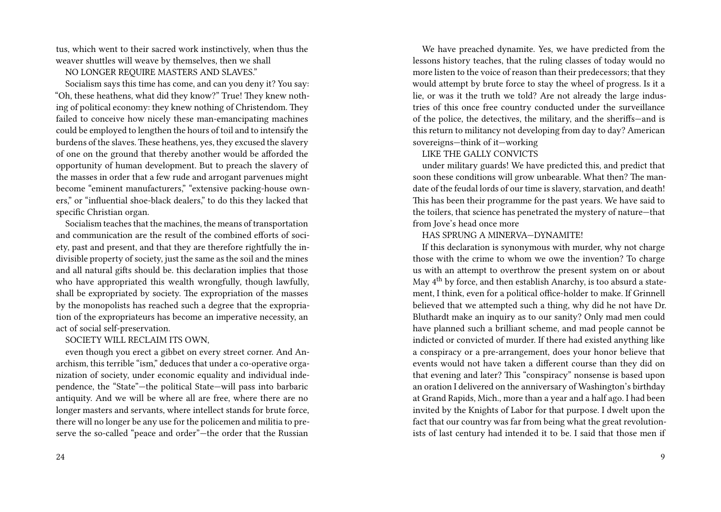tus, which went to their sacred work instinctively, when thus the weaver shuttles will weave by themselves, then we shall

NO LONGER REQUIRE MASTERS AND SLAVES."

Socialism says this time has come, and can you deny it? You say: "Oh, these heathens, what did they know?" True! They knew nothing of political economy: they knew nothing of Christendom. They failed to conceive how nicely these man-emancipating machines could be employed to lengthen the hours of toil and to intensify the burdens of the slaves. These heathens, yes, they excused the slavery of one on the ground that thereby another would be afforded the opportunity of human development. But to preach the slavery of the masses in order that a few rude and arrogant parvenues might become "eminent manufacturers," "extensive packing-house owners," or "influential shoe-black dealers," to do this they lacked that specific Christian organ.

Socialism teaches that the machines, the means of transportation and communication are the result of the combined efforts of society, past and present, and that they are therefore rightfully the indivisible property of society, just the same as the soil and the mines and all natural gifts should be. this declaration implies that those who have appropriated this wealth wrongfully, though lawfully, shall be expropriated by society. The expropriation of the masses by the monopolists has reached such a degree that the expropriation of the expropriateurs has become an imperative necessity, an act of social self-preservation.

# SOCIETY WILL RECLAIM ITS OWN,

even though you erect a gibbet on every street corner. And Anarchism, this terrible "ism," deduces that under a co-operative organization of society, under economic equality and individual independence, the "State"—the political State—will pass into barbaric antiquity. And we will be where all are free, where there are no longer masters and servants, where intellect stands for brute force, there will no longer be any use for the policemen and militia to preserve the so-called "peace and order"—the order that the Russian

We have preached dynamite. Yes, we have predicted from the lessons history teaches, that the ruling classes of today would no more listen to the voice of reason than their predecessors; that they would attempt by brute force to stay the wheel of progress. Is it a lie, or was it the truth we told? Are not already the large industries of this once free country conducted under the surveillance of the police, the detectives, the military, and the sheriffs—and is this return to militancy not developing from day to day? American sovereigns—think of it—working

# LIKE THE GALLY CONVICTS

under military guards! We have predicted this, and predict that soon these conditions will grow unbearable. What then? The mandate of the feudal lords of our time is slavery, starvation, and death! This has been their programme for the past years. We have said to the toilers, that science has penetrated the mystery of nature—that from Jove's head once more

#### HAS SPRUNG A MINERVA—DYNAMITE!

If this declaration is synonymous with murder, why not charge those with the crime to whom we owe the invention? To charge us with an attempt to overthrow the present system on or about May 4<sup>th</sup> by force, and then establish Anarchy, is too absurd a statement, I think, even for a political office-holder to make. If Grinnell believed that we attempted such a thing, why did he not have Dr. Bluthardt make an inquiry as to our sanity? Only mad men could have planned such a brilliant scheme, and mad people cannot be indicted or convicted of murder. If there had existed anything like a conspiracy or a pre-arrangement, does your honor believe that events would not have taken a different course than they did on that evening and later? This "conspiracy" nonsense is based upon an oration I delivered on the anniversary of Washington's birthday at Grand Rapids, Mich., more than a year and a half ago. I had been invited by the Knights of Labor for that purpose. I dwelt upon the fact that our country was far from being what the great revolutionists of last century had intended it to be. I said that those men if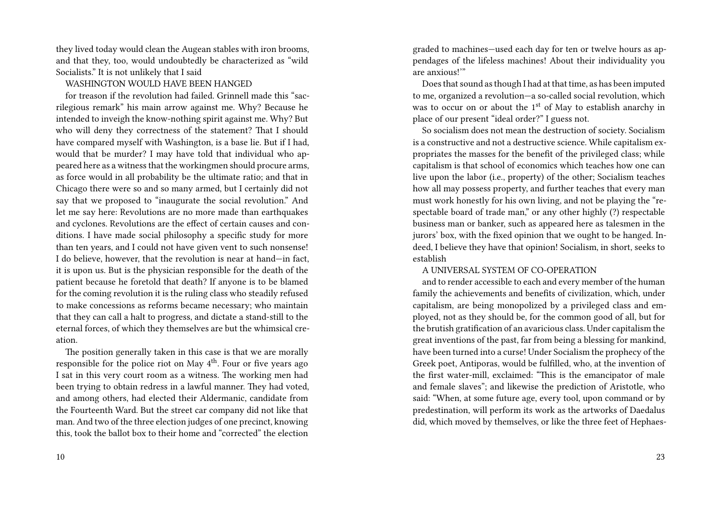they lived today would clean the Augean stables with iron brooms, and that they, too, would undoubtedly be characterized as "wild Socialists." It is not unlikely that I said

# WASHINGTON WOULD HAVE BEEN HANGED

for treason if the revolution had failed. Grinnell made this "sacrilegious remark" his main arrow against me. Why? Because he intended to inveigh the know-nothing spirit against me. Why? But who will deny they correctness of the statement? That I should have compared myself with Washington, is a base lie. But if I had, would that be murder? I may have told that individual who appeared here as a witness that the workingmen should procure arms, as force would in all probability be the ultimate ratio; and that in Chicago there were so and so many armed, but I certainly did not say that we proposed to "inaugurate the social revolution." And let me say here: Revolutions are no more made than earthquakes and cyclones. Revolutions are the effect of certain causes and conditions. I have made social philosophy a specific study for more than ten years, and I could not have given vent to such nonsense! I do believe, however, that the revolution is near at hand—in fact, it is upon us. But is the physician responsible for the death of the patient because he foretold that death? If anyone is to be blamed for the coming revolution it is the ruling class who steadily refused to make concessions as reforms became necessary; who maintain that they can call a halt to progress, and dictate a stand-still to the eternal forces, of which they themselves are but the whimsical creation.

The position generally taken in this case is that we are morally responsible for the police riot on May  $4<sup>th</sup>$ . Four or five years ago I sat in this very court room as a witness. The working men had been trying to obtain redress in a lawful manner. They had voted, and among others, had elected their Aldermanic, candidate from the Fourteenth Ward. But the street car company did not like that man. And two of the three election judges of one precinct, knowing this, took the ballot box to their home and "corrected" the election

graded to machines—used each day for ten or twelve hours as appendages of the lifeless machines! About their individuality you are anxious!'"

Does that sound as though I had at that time, as has been imputed to me, organized a revolution—a so-called social revolution, which was to occur on or about the 1<sup>st</sup> of May to establish anarchy in place of our present "ideal order?" I guess not.

So socialism does not mean the destruction of society. Socialism is a constructive and not a destructive science. While capitalism expropriates the masses for the benefit of the privileged class; while capitalism is that school of economics which teaches how one can live upon the labor (i.e., property) of the other; Socialism teaches how all may possess property, and further teaches that every man must work honestly for his own living, and not be playing the "respectable board of trade man," or any other highly (?) respectable business man or banker, such as appeared here as talesmen in the jurors' box, with the fixed opinion that we ought to be hanged. Indeed, I believe they have that opinion! Socialism, in short, seeks to establish

#### A UNIVERSAL SYSTEM OF CO-OPERATION

and to render accessible to each and every member of the human family the achievements and benefits of civilization, which, under capitalism, are being monopolized by a privileged class and employed, not as they should be, for the common good of all, but for the brutish gratification of an avaricious class. Under capitalism the great inventions of the past, far from being a blessing for mankind, have been turned into a curse! Under Socialism the prophecy of the Greek poet, Antiporas, would be fulfilled, who, at the invention of the first water-mill, exclaimed: "This is the emancipator of male and female slaves"; and likewise the prediction of Aristotle, who said: "When, at some future age, every tool, upon command or by predestination, will perform its work as the artworks of Daedalus did, which moved by themselves, or like the three feet of Hephaes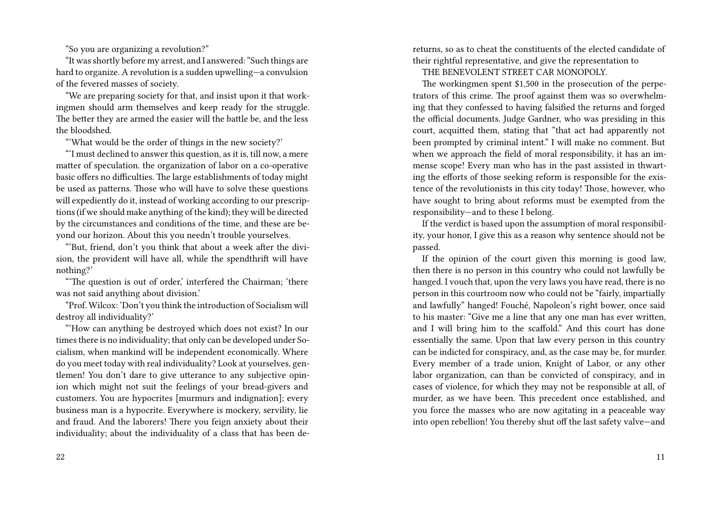"So you are organizing a revolution?"

"It was shortly before my arrest, and I answered: "Such things are hard to organize. A revolution is a sudden upwelling—a convulsion of the fevered masses of society.

"We are preparing society for that, and insist upon it that workingmen should arm themselves and keep ready for the struggle. The better they are armed the easier will the battle be, and the less the bloodshed.

"'What would be the order of things in the new society?'

"'I must declined to answer this question, as it is, till now, a mere matter of speculation. the organization of labor on a co-operative basic offers no difficulties. The large establishments of today might be used as patterns. Those who will have to solve these questions will expediently do it, instead of working according to our prescriptions (if we should make anything of the kind); they will be directed by the circumstances and conditions of the time, and these are beyond our horizon. About this you needn't trouble yourselves.

"'But, friend, don't you think that about a week after the division, the provident will have all, while the spendthrift will have nothing?'

"'The question is out of order,' interfered the Chairman; 'there was not said anything about division.'

"Prof. Wilcox: 'Don't you think the introduction of Socialism will destroy all individuality?'

"'How can anything be destroyed which does not exist? In our times there is no individuality; that only can be developed under Socialism, when mankind will be independent economically. Where do you meet today with real individuality? Look at yourselves, gentlemen! You don't dare to give utterance to any subjective opinion which might not suit the feelings of your bread-givers and customers. You are hypocrites [murmurs and indignation]; every business man is a hypocrite. Everywhere is mockery, servility, lie and fraud. And the laborers! There you feign anxiety about their individuality; about the individuality of a class that has been dereturns, so as to cheat the constituents of the elected candidate of their rightful representative, and give the representation to

THE BENEVOLENT STREET CAR MONOPOLY.

The workingmen spent \$1,500 in the prosecution of the perpetrators of this crime. The proof against them was so overwhelming that they confessed to having falsified the returns and forged the official documents. Judge Gardner, who was presiding in this court, acquitted them, stating that "that act had apparently not been prompted by criminal intent." I will make no comment. But when we approach the field of moral responsibility, it has an immense scope! Every man who has in the past assisted in thwarting the efforts of those seeking reform is responsible for the existence of the revolutionists in this city today! Those, however, who have sought to bring about reforms must be exempted from the responsibility—and to these I belong.

If the verdict is based upon the assumption of moral responsibility, your honor, I give this as a reason why sentence should not be passed.

If the opinion of the court given this morning is good law, then there is no person in this country who could not lawfully be hanged. I vouch that, upon the very laws you have read, there is no person in this courtroom now who could not be "fairly, impartially and lawfully" hanged! Fouché, Napoleon's right bower, once said to his master: "Give me a line that any one man has ever written, and I will bring him to the scaffold." And this court has done essentially the same. Upon that law every person in this country can be indicted for conspiracy, and, as the case may be, for murder. Every member of a trade union, Knight of Labor, or any other labor organization, can than be convicted of conspiracy, and in cases of violence, for which they may not be responsible at all, of murder, as we have been. This precedent once established, and you force the masses who are now agitating in a peaceable way into open rebellion! You thereby shut off the last safety valve—and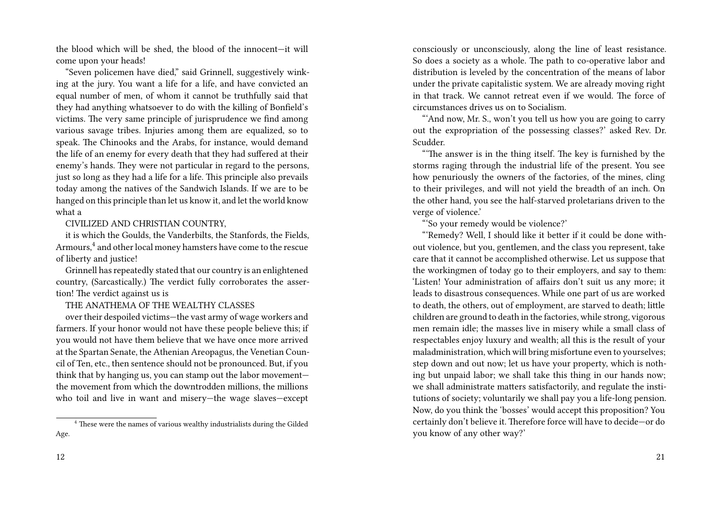the blood which will be shed, the blood of the innocent—it will come upon your heads!

"Seven policemen have died," said Grinnell, suggestively winking at the jury. You want a life for a life, and have convicted an equal number of men, of whom it cannot be truthfully said that they had anything whatsoever to do with the killing of Bonfield's victims. The very same principle of jurisprudence we find among various savage tribes. Injuries among them are equalized, so to speak. The Chinooks and the Arabs, for instance, would demand the life of an enemy for every death that they had suffered at their enemy's hands. They were not particular in regard to the persons, just so long as they had a life for a life. This principle also prevails today among the natives of the Sandwich Islands. If we are to be hanged on this principle than let us know it, and let the world know what a

CIVILIZED AND CHRISTIAN COUNTRY,

it is which the Goulds, the Vanderbilts, the Stanfords, the Fields, Armours, $\rm ^4$  and other local money hamsters have come to the rescue of liberty and justice!

Grinnell has repeatedly stated that our country is an enlightened country, (Sarcastically.) The verdict fully corroborates the assertion! The verdict against us is

THE ANATHEMA OF THE WEALTHY CLASSES

over their despoiled victims—the vast army of wage workers and farmers. If your honor would not have these people believe this; if you would not have them believe that we have once more arrived at the Spartan Senate, the Athenian Areopagus, the Venetian Council of Ten, etc., then sentence should not be pronounced. But, if you think that by hanging us, you can stamp out the labor movement the movement from which the downtrodden millions, the millions who toil and live in want and misery—the wage slaves—except consciously or unconsciously, along the line of least resistance. So does a society as a whole. The path to co-operative labor and distribution is leveled by the concentration of the means of labor under the private capitalistic system. We are already moving right in that track. We cannot retreat even if we would. The force of circumstances drives us on to Socialism.

"'And now, Mr. S., won't you tell us how you are going to carry out the expropriation of the possessing classes?' asked Rev. Dr. Scudder.

"'The answer is in the thing itself. The key is furnished by the storms raging through the industrial life of the present. You see how penuriously the owners of the factories, of the mines, cling to their privileges, and will not yield the breadth of an inch. On the other hand, you see the half-starved proletarians driven to the verge of violence.'

"'So your remedy would be violence?'

"'Remedy? Well, I should like it better if it could be done without violence, but you, gentlemen, and the class you represent, take care that it cannot be accomplished otherwise. Let us suppose that the workingmen of today go to their employers, and say to them: 'Listen! Your administration of affairs don't suit us any more; it leads to disastrous consequences. While one part of us are worked to death, the others, out of employment, are starved to death; little children are ground to death in the factories, while strong, vigorous men remain idle; the masses live in misery while a small class of respectables enjoy luxury and wealth; all this is the result of your maladministration, which will bring misfortune even to yourselves; step down and out now; let us have your property, which is nothing but unpaid labor; we shall take this thing in our hands now; we shall administrate matters satisfactorily, and regulate the institutions of society; voluntarily we shall pay you a life-long pension. Now, do you think the 'bosses' would accept this proposition? You certainly don't believe it. Therefore force will have to decide—or do you know of any other way?'

<sup>&</sup>lt;sup>4</sup> These were the names of various wealthy industrialists during the Gilded Age.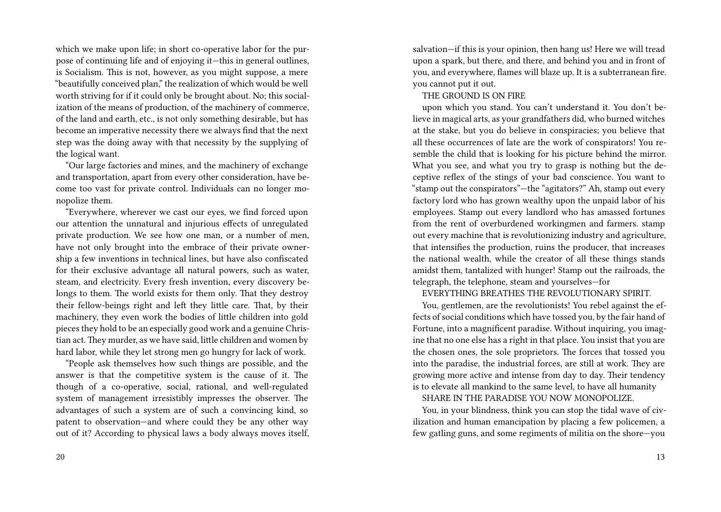which we make upon life; in short co-operative labor for the purpose of continuing life and of enjoying it—this in general outlines, is Socialism. This is not, however, as you might suppose, a mere "beautifully conceived plan," the realization of which would be well worth striving for if it could only be brought about. No; this socialization of the means of production, of the machinery of commerce, of the land and earth, etc., is not only something desirable, but has become an imperative necessity there we always find that the next step was the doing away with that necessity by the supplying of the logical want.

"Our large factories and mines, and the machinery of exchange and transportation, apart from every other consideration, have become too vast for private control. Individuals can no longer monopolize them.

"Everywhere, wherever we cast our eyes, we find forced upon our attention the unnatural and injurious effects of unregulated private production. We see how one man, or a number of men, have not only brought into the embrace of their private ownership a few inventions in technical lines, but have also confiscated for their exclusive advantage all natural powers, such as water, steam, and electricity. Every fresh invention, every discovery belongs to them. The world exists for them only. That they destroy their fellow-beings right and left they little care. That, by their machinery, they even work the bodies of little children into gold pieces they hold to be an especially good work and a genuine Christian act. They murder, as we have said, little children and women by hard labor, while they let strong men go hungry for lack of work.

"People ask themselves how such things are possible, and the answer is that the competitive system is the cause of it. The though of a co-operative, social, rational, and well-regulated system of management irresistibly impresses the observer. The advantages of such a system are of such a convincing kind, so patent to observation—and where could they be any other way out of it? According to physical laws a body always moves itself, salvation—if this is your opinion, then hang us! Here we will tread upon a spark, but there, and there, and behind you and in front of you, and everywhere, flames will blaze up. It is a subterranean fire. you cannot put it out.

## THE GROUND IS ON FIRE

upon which you stand. You can't understand it. You don't believe in magical arts, as your grandfathers did, who burned witches at the stake, but you do believe in conspiracies; you believe that all these occurrences of late are the work of conspirators! You resemble the child that is looking for his picture behind the mirror. What you see, and what you try to grasp is nothing but the deceptive reflex of the stings of your bad conscience. You want to "stamp out the conspirators"—the "agitators?" Ah, stamp out every factory lord who has grown wealthy upon the unpaid labor of his employees. Stamp out every landlord who has amassed fortunes from the rent of overburdened workingmen and farmers. stamp out every machine that is revolutionizing industry and agriculture, that intensifies the production, ruins the producer, that increases the national wealth, while the creator of all these things stands amidst them, tantalized with hunger! Stamp out the railroads, the telegraph, the telephone, steam and yourselves—for

## EVERYTHING BREATHES THE REVOLUTIONARY SPIRIT.

You, gentlemen, are the revolutionists! You rebel against the effects of social conditions which have tossed you, by the fair hand of Fortune, into a magnificent paradise. Without inquiring, you imagine that no one else has a right in that place. You insist that you are the chosen ones, the sole proprietors. The forces that tossed you into the paradise, the industrial forces, are still at work. They are growing more active and intense from day to day. Their tendency is to elevate all mankind to the same level, to have all humanity

#### SHARE IN THE PARADISE YOU NOW MONOPOLIZE.

You, in your blindness, think you can stop the tidal wave of civilization and human emancipation by placing a few policemen, a few gatling guns, and some regiments of militia on the shore—you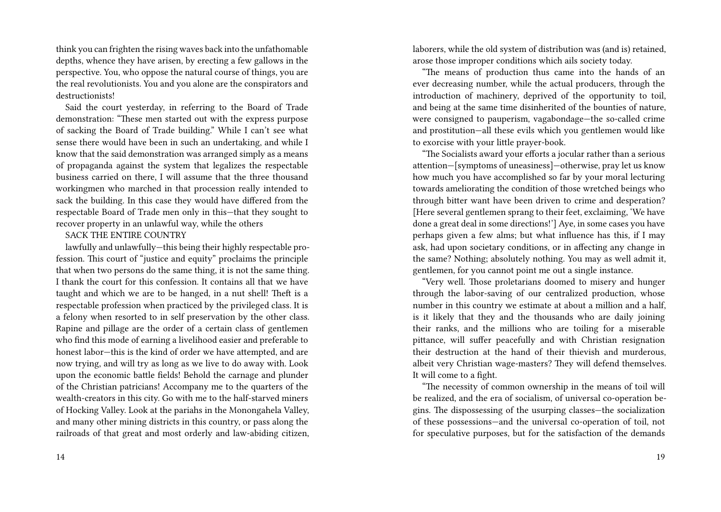think you can frighten the rising waves back into the unfathomable depths, whence they have arisen, by erecting a few gallows in the perspective. You, who oppose the natural course of things, you are the real revolutionists. You and you alone are the conspirators and destructionists!

Said the court yesterday, in referring to the Board of Trade demonstration: "These men started out with the express purpose of sacking the Board of Trade building." While I can't see what sense there would have been in such an undertaking, and while I know that the said demonstration was arranged simply as a means of propaganda against the system that legalizes the respectable business carried on there, I will assume that the three thousand workingmen who marched in that procession really intended to sack the building. In this case they would have differed from the respectable Board of Trade men only in this—that they sought to recover property in an unlawful way, while the others

# SACK THE ENTIRE COUNTRY

lawfully and unlawfully—this being their highly respectable profession. This court of "justice and equity" proclaims the principle that when two persons do the same thing, it is not the same thing. I thank the court for this confession. It contains all that we have taught and which we are to be hanged, in a nut shell! Theft is a respectable profession when practiced by the privileged class. It is a felony when resorted to in self preservation by the other class. Rapine and pillage are the order of a certain class of gentlemen who find this mode of earning a livelihood easier and preferable to honest labor—this is the kind of order we have attempted, and are now trying, and will try as long as we live to do away with. Look upon the economic battle fields! Behold the carnage and plunder of the Christian patricians! Accompany me to the quarters of the wealth-creators in this city. Go with me to the half-starved miners of Hocking Valley. Look at the pariahs in the Monongahela Valley, and many other mining districts in this country, or pass along the railroads of that great and most orderly and law-abiding citizen, laborers, while the old system of distribution was (and is) retained, arose those improper conditions which ails society today.

"The means of production thus came into the hands of an ever decreasing number, while the actual producers, through the introduction of machinery, deprived of the opportunity to toil, and being at the same time disinherited of the bounties of nature, were consigned to pauperism, vagabondage—the so-called crime and prostitution—all these evils which you gentlemen would like to exorcise with your little prayer-book.

"The Socialists award your efforts a jocular rather than a serious attention—[symptoms of uneasiness]—otherwise, pray let us know how much you have accomplished so far by your moral lecturing towards ameliorating the condition of those wretched beings who through bitter want have been driven to crime and desperation? [Here several gentlemen sprang to their feet, exclaiming, 'We have done a great deal in some directions!'] Aye, in some cases you have perhaps given a few alms; but what influence has this, if I may ask, had upon societary conditions, or in affecting any change in the same? Nothing; absolutely nothing. You may as well admit it, gentlemen, for you cannot point me out a single instance.

"Very well. Those proletarians doomed to misery and hunger through the labor-saving of our centralized production, whose number in this country we estimate at about a million and a half, is it likely that they and the thousands who are daily joining their ranks, and the millions who are toiling for a miserable pittance, will suffer peacefully and with Christian resignation their destruction at the hand of their thievish and murderous, albeit very Christian wage-masters? They will defend themselves. It will come to a fight.

"The necessity of common ownership in the means of toil will be realized, and the era of socialism, of universal co-operation begins. The dispossessing of the usurping classes—the socialization of these possessions—and the universal co-operation of toil, not for speculative purposes, but for the satisfaction of the demands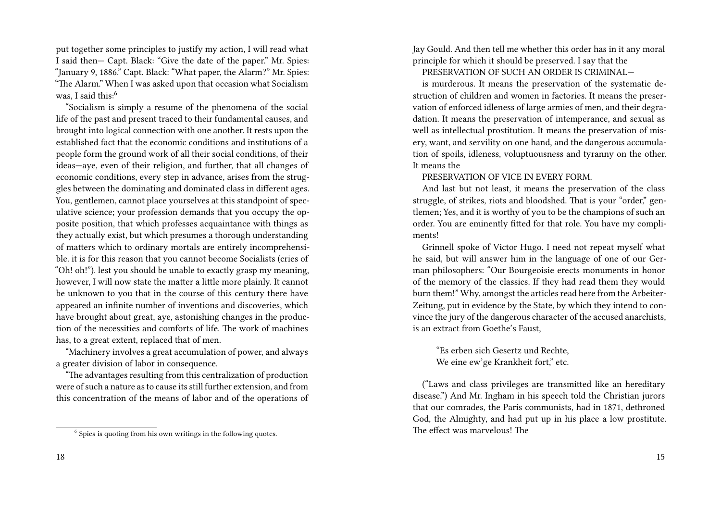put together some principles to justify my action, I will read what I said then— Capt. Black: "Give the date of the paper." Mr. Spies: "January 9, 1886." Capt. Black: "What paper, the Alarm?" Mr. Spies: "The Alarm." When I was asked upon that occasion what Socialism was, I said this:<sup>6</sup>

"Socialism is simply a resume of the phenomena of the social life of the past and present traced to their fundamental causes, and brought into logical connection with one another. It rests upon the established fact that the economic conditions and institutions of a people form the ground work of all their social conditions, of their ideas—aye, even of their religion, and further, that all changes of economic conditions, every step in advance, arises from the struggles between the dominating and dominated class in different ages. You, gentlemen, cannot place yourselves at this standpoint of speculative science; your profession demands that you occupy the opposite position, that which professes acquaintance with things as they actually exist, but which presumes a thorough understanding of matters which to ordinary mortals are entirely incomprehensible. it is for this reason that you cannot become Socialists (cries of "Oh! oh!"). lest you should be unable to exactly grasp my meaning, however, I will now state the matter a little more plainly. It cannot be unknown to you that in the course of this century there have appeared an infinite number of inventions and discoveries, which have brought about great, aye, astonishing changes in the production of the necessities and comforts of life. The work of machines has, to a great extent, replaced that of men.

"Machinery involves a great accumulation of power, and always a greater division of labor in consequence.

"The advantages resulting from this centralization of production were of such a nature as to cause its still further extension, and from this concentration of the means of labor and of the operations of Jay Gould. And then tell me whether this order has in it any moral principle for which it should be preserved. I say that the

PRESERVATION OF SUCH AN ORDER IS CRIMINAL—

is murderous. It means the preservation of the systematic destruction of children and women in factories. It means the preservation of enforced idleness of large armies of men, and their degradation. It means the preservation of intemperance, and sexual as well as intellectual prostitution. It means the preservation of misery, want, and servility on one hand, and the dangerous accumulation of spoils, idleness, voluptuousness and tyranny on the other. It means the

PRESERVATION OF VICE IN EVERY FORM.

And last but not least, it means the preservation of the class struggle, of strikes, riots and bloodshed. That is your "order," gentlemen; Yes, and it is worthy of you to be the champions of such an order. You are eminently fitted for that role. You have my compliments!

Grinnell spoke of Victor Hugo. I need not repeat myself what he said, but will answer him in the language of one of our German philosophers: "Our Bourgeoisie erects monuments in honor of the memory of the classics. If they had read them they would burn them!" Why, amongst the articles read here from the Arbeiter-Zeitung, put in evidence by the State, by which they intend to convince the jury of the dangerous character of the accused anarchists, is an extract from Goethe's Faust,

"Es erben sich Gesertz und Rechte, We eine ew'ge Krankheit fort," etc.

("Laws and class privileges are transmitted like an hereditary disease.") And Mr. Ingham in his speech told the Christian jurors that our comrades, the Paris communists, had in 1871, dethroned God, the Almighty, and had put up in his place a low prostitute. The effect was marvelous! The

<sup>&</sup>lt;sup>6</sup> Spies is quoting from his own writings in the following quotes.